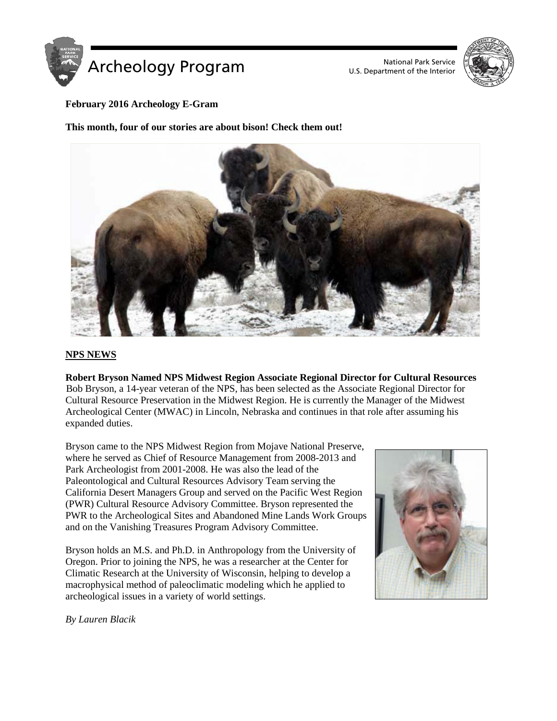

U.S. Department of the Interior



## **February 2016 Archeology E-Gram**

**This month, four of our stories are about bison! Check them out!**



## **NPS NEWS**

**Robert Bryson Named NPS Midwest Region Associate Regional Director for Cultural Resources**  Bob Bryson, a 14-year veteran of the NPS, has been selected as the Associate Regional Director for Cultural Resource Preservation in the Midwest Region. He is currently the Manager of the Midwest Archeological Center (MWAC) in Lincoln, Nebraska and continues in that role after assuming his expanded duties.

Bryson came to the NPS Midwest Region from Mojave National Preserve, where he served as Chief of Resource Management from 2008-2013 and Park Archeologist from 2001-2008. He was also the lead of the Paleontological and Cultural Resources Advisory Team serving the California Desert Managers Group and served on the Pacific West Region (PWR) Cultural Resource Advisory Committee. Bryson represented the PWR to the Archeological Sites and Abandoned Mine Lands Work Groups and on the Vanishing Treasures Program Advisory Committee.

Bryson holds an M.S. and Ph.D. in Anthropology from the University of Oregon. Prior to joining the NPS, he was a researcher at the Center for Climatic Research at the University of Wisconsin, helping to develop a macrophysical method of paleoclimatic modeling which he applied to archeological issues in a variety of world settings.



*By Lauren Blacik*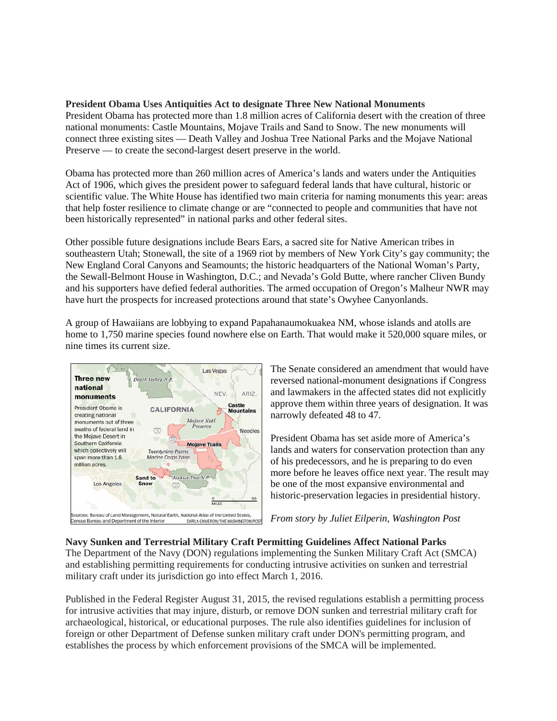## **President Obama Uses Antiquities Act to designate Three New National Monuments**

President Obama has protected more than 1.8 million acres of California desert with the creation of three national monuments: Castle Mountains, Mojave Trails and Sand to Snow. The new monuments will connect three existing sites — Death Valley and Joshua Tree National Parks and the Mojave National Preserve — to create the second-largest desert preserve in the world.

Obama has protected more than 260 million acres of America's lands and waters under the Antiquities Act of 1906, which gives the president power to safeguard federal lands that have cultural, historic or scientific value. The White House has identified two main criteria for naming monuments this year: areas that help foster resilience to climate change or are "connected to people and communities that have not been historically represented" in national parks and other federal sites.

Other possible future designations include Bears Ears, a sacred site for Native American tribes in southeastern Utah; Stonewall, the site of a 1969 riot by members of New York City's gay community; the New England Coral Canyons and Seamounts; the historic headquarters of the National Woman's Party, the Sewall-Belmont House in Washington, D.C.; and Nevada's Gold Butte, where rancher Cliven Bundy and his supporters have defied federal authorities. The armed occupation of Oregon's Malheur NWR may have hurt the prospects for increased protections around that state's Owyhee Canyonlands.

A group of Hawaiians are lobbying to expand Papahanaumokuakea NM, whose islands and atolls are home to 1,750 marine species found nowhere else on Earth. That would make it 520,000 square miles, or nine times its current size.



The Senate considered an amendment that would have reversed national-monument designations if Congress and lawmakers in the affected states did not explicitly approve them within three years of designation. It was narrowly defeated 48 to 47.

President Obama has set aside more of America's lands and waters for conservation protection than any of his predecessors, and he is preparing to do even more before he leaves office next year. The result may be one of the most expansive environmental and historic-preservation legacies in presidential history.

*From story by Juliet Eilperin, Washington Post*

**Navy Sunken and Terrestrial Military Craft Permitting Guidelines Affect National Parks** The Department of the Navy (DON) regulations implementing the Sunken Military Craft Act (SMCA) and establishing permitting requirements for conducting intrusive activities on sunken and terrestrial military craft under its jurisdiction go into effect March 1, 2016.

Published in the Federal Register August 31, 2015, the revised regulations establish a permitting process for intrusive activities that may injure, disturb, or remove DON sunken and terrestrial military craft for archaeological, historical, or educational purposes. The rule also identifies guidelines for inclusion of foreign or other Department of Defense sunken military craft under DON's permitting program, and establishes the process by which enforcement provisions of the SMCA will be implemented.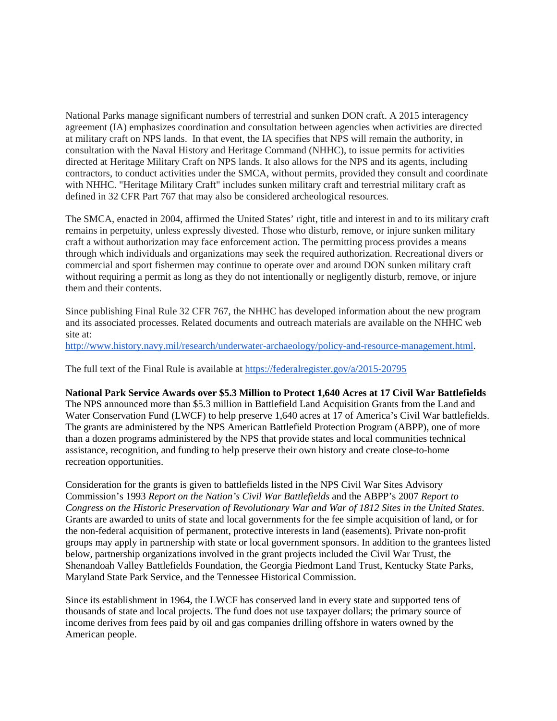National Parks manage significant numbers of terrestrial and sunken DON craft. A 2015 interagency agreement (IA) emphasizes coordination and consultation between agencies when activities are directed at military craft on NPS lands. In that event, the IA specifies that NPS will remain the authority, in consultation with the Naval History and Heritage Command (NHHC), to issue permits for activities directed at Heritage Military Craft on NPS lands. It also allows for the NPS and its agents, including contractors, to conduct activities under the SMCA, without permits, provided they consult and coordinate with NHHC. "Heritage Military Craft" includes sunken military craft and terrestrial military craft as defined in 32 CFR Part 767 that may also be considered archeological resources.

The SMCA, enacted in 2004, affirmed the United States' right, title and interest in and to its military craft remains in perpetuity, unless expressly divested. Those who disturb, remove, or injure sunken military craft a without authorization may face enforcement action. The permitting process provides a means through which individuals and organizations may seek the required authorization. Recreational divers or commercial and sport fishermen may continue to operate over and around DON sunken military craft without requiring a permit as long as they do not intentionally or negligently disturb, remove, or injure them and their contents.

Since publishing Final Rule 32 CFR 767, the NHHC has developed information about the new program and its associated processes. Related documents and outreach materials are available on the NHHC web site at:

[http://www.history.navy.mil/research/underwater-archaeology/policy-and-resource-management.html.](http://www.history.navy.mil/research/underwater-archaeology/policy-and-resource-management.html)

The full text of the Final Rule is available at <https://federalregister.gov/a/2015-20795>

#### **National Park Service Awards over \$5.3 Million to Protect 1,640 Acres at 17 Civil War Battlefields**

The NPS announced more than \$5.3 million in Battlefield Land Acquisition Grants from the Land and Water Conservation Fund (LWCF) to help preserve 1,640 acres at 17 of America's Civil War battlefields. The grants are administered by the NPS American Battlefield Protection Program (ABPP), one of more than a dozen programs administered by the NPS that provide states and local communities technical assistance, recognition, and funding to help preserve their own history and create close-to-home recreation opportunities.

Consideration for the grants is given to battlefields listed in the NPS Civil War Sites Advisory Commission's 1993 *Report on the Nation's Civil War Battlefields* and the ABPP's 2007 *Report to Congress on the Historic Preservation of Revolutionary War and War of 1812 Sites in the United States*. Grants are awarded to units of state and local governments for the fee simple acquisition of land, or for the non-federal acquisition of permanent, protective interests in land (easements). Private non-profit groups may apply in partnership with state or local government sponsors. In addition to the grantees listed below, partnership organizations involved in the grant projects included the Civil War Trust, the Shenandoah Valley Battlefields Foundation, the Georgia Piedmont Land Trust, Kentucky State Parks, Maryland State Park Service, and the Tennessee Historical Commission.

Since its establishment in 1964, the LWCF has conserved land in every state and supported tens of thousands of state and local projects. The fund does not use taxpayer dollars; the primary source of income derives from fees paid by oil and gas companies drilling offshore in waters owned by the American people.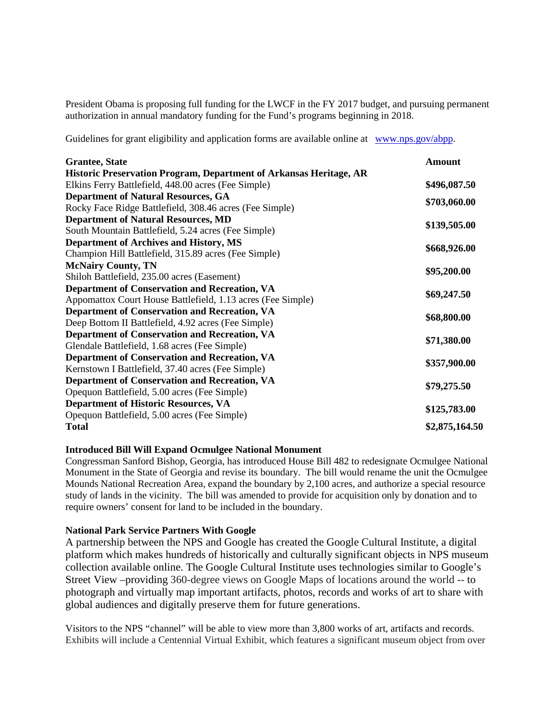President Obama is proposing full funding for the LWCF in the FY 2017 budget, and pursuing permanent authorization in annual mandatory funding for the Fund's programs beginning in 2018.

Guidelines for grant eligibility and application forms are available online at [www.nps.gov/abpp.](http://www.nps.gov/abpp)

| <b>Grantee</b> , State                                             | Amount         |
|--------------------------------------------------------------------|----------------|
| Historic Preservation Program, Department of Arkansas Heritage, AR |                |
| Elkins Ferry Battlefield, 448.00 acres (Fee Simple)                | \$496,087.50   |
| <b>Department of Natural Resources, GA</b>                         |                |
| Rocky Face Ridge Battlefield, 308.46 acres (Fee Simple)            | \$703,060.00   |
| <b>Department of Natural Resources, MD</b>                         |                |
| South Mountain Battlefield, 5.24 acres (Fee Simple)                | \$139,505.00   |
| <b>Department of Archives and History, MS</b>                      |                |
| Champion Hill Battlefield, 315.89 acres (Fee Simple)               | \$668,926.00   |
| <b>McNairy County, TN</b>                                          |                |
| Shiloh Battlefield, 235.00 acres (Easement)                        | \$95,200.00    |
| Department of Conservation and Recreation, VA                      |                |
| Appomattox Court House Battlefield, 1.13 acres (Fee Simple)        | \$69,247.50    |
| <b>Department of Conservation and Recreation, VA</b>               |                |
| Deep Bottom II Battlefield, 4.92 acres (Fee Simple)                | \$68,800.00    |
| <b>Department of Conservation and Recreation, VA</b>               |                |
| Glendale Battlefield, 1.68 acres (Fee Simple)                      | \$71,380.00    |
| <b>Department of Conservation and Recreation, VA</b>               |                |
| Kernstown I Battlefield, 37.40 acres (Fee Simple)                  | \$357,900.00   |
| <b>Department of Conservation and Recreation, VA</b>               |                |
| Opequon Battlefield, 5.00 acres (Fee Simple)                       | \$79,275.50    |
| <b>Department of Historic Resources, VA</b>                        |                |
| Opequon Battlefield, 5.00 acres (Fee Simple)                       | \$125,783.00   |
| <b>Total</b>                                                       | \$2,875,164.50 |

## **Introduced Bill Will Expand Ocmulgee National Monument**

Congressman Sanford Bishop, Georgia, has introduced House Bill 482 to redesignate Ocmulgee National Monument in the State of Georgia and revise its boundary. The bill would rename the unit the Ocmulgee Mounds National Recreation Area, expand the boundary by 2,100 acres, and authorize a special resource study of lands in the vicinity. The bill was amended to provide for acquisition only by donation and to require owners' consent for land to be included in the boundary.

#### **National Park Service Partners With Google**

A partnership between the NPS and Google has created the Google Cultural Institute, a digital platform which makes hundreds of historically and culturally significant objects in NPS museum collection available online. The Google Cultural Institute uses technologies similar to Google's Street View –providing 360-degree views on Google Maps of locations around the world -- to photograph and virtually map important artifacts, photos, records and works of art to share with global audiences and digitally preserve them for future generations.

Visitors to the NPS "channel" will be able to view more than 3,800 works of art, artifacts and records. Exhibits will include a Centennial Virtual Exhibit, which features a significant museum object from over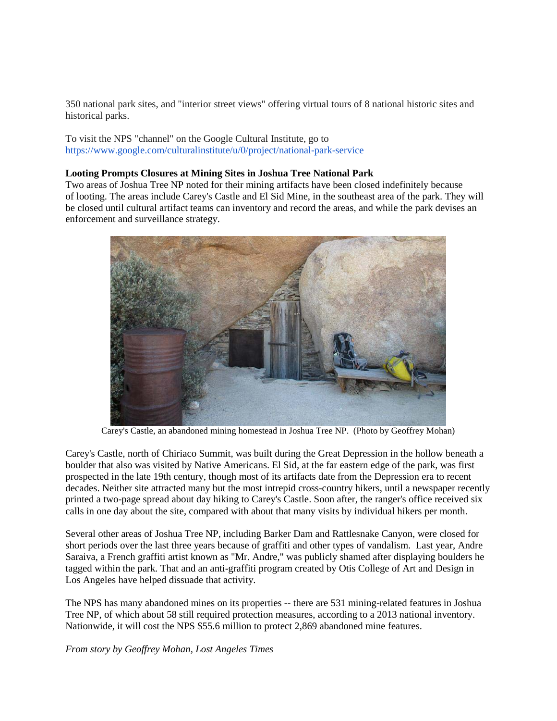350 national park sites, and "interior street views" offering virtual tours of 8 national historic sites and historical parks.

To visit the NPS "channel" on the Google Cultural Institute, go to <https://www.google.com/culturalinstitute/u/0/project/national-park-service>

#### **Looting Prompts Closures at Mining Sites in Joshua Tree National Park**

Two areas of Joshua Tree NP noted for their mining artifacts have been closed indefinitely because of looting. The areas include Carey's Castle and El Sid Mine, in the southeast area of the park. They will be closed until cultural artifact teams can inventory and record the areas, and while the park devises an enforcement and surveillance strategy.



Carey's Castle, an abandoned mining homestead in Joshua Tree NP. (Photo by Geoffrey Mohan)

Carey's Castle, north of Chiriaco Summit, was built during the Great Depression in the hollow beneath a boulder that also was visited by Native Americans. El Sid, at the far eastern edge of the park, was first prospected in the late 19th century, though most of its artifacts date from the Depression era to recent decades. Neither site attracted many but the most intrepid cross-country hikers, until a newspaper recently printed a two-page spread about day hiking to Carey's Castle. Soon after, the ranger's office received six calls in one day about the site, compared with about that many visits by individual hikers per month.

Several other areas of Joshua Tree NP, including Barker Dam and Rattlesnake Canyon, were closed for short periods over the last three years because of graffiti and other types of vandalism. Last year, Andre Saraiva, a French graffiti artist known as "Mr. Andre," was publicly shamed after displaying boulders he tagged within the park. That and an anti-graffiti program created by Otis College of Art and Design in Los Angeles have helped dissuade that activity.

The NPS has many abandoned mines on its properties -- there are 531 mining-related features in Joshua Tree NP, of which about 58 still required protection measures, according to a 2013 national inventory. Nationwide, it will cost the NPS \$55.6 million to protect 2,869 abandoned mine features.

*From story by Geoffrey Mohan, Lost Angeles Times*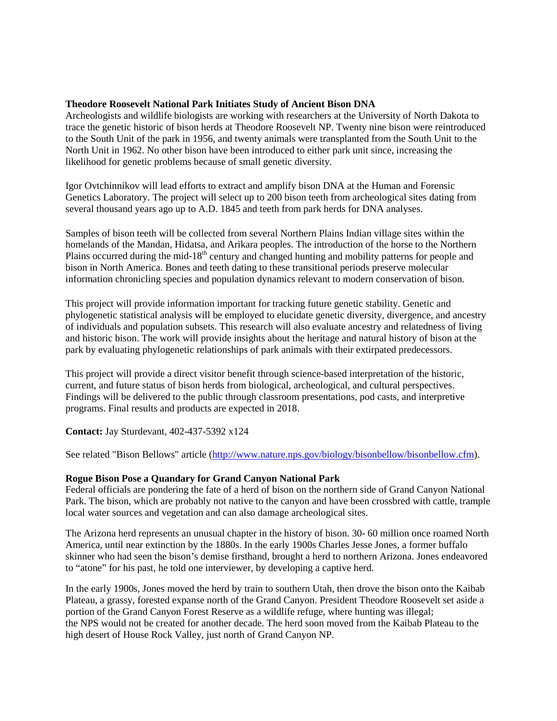#### **Theodore Roosevelt National Park Initiates Study of Ancient Bison DNA**

Archeologists and wildlife biologists are working with researchers at the University of North Dakota to trace the genetic historic of bison herds at Theodore Roosevelt NP. Twenty nine bison were reintroduced to the South Unit of the park in 1956, and twenty animals were transplanted from the South Unit to the North Unit in 1962. No other bison have been introduced to either park unit since, increasing the likelihood for genetic problems because of small genetic diversity.

Igor Ovtchinnikov will lead efforts to extract and amplify bison DNA at the Human and Forensic Genetics Laboratory. The project will select up to 200 bison teeth from archeological sites dating from several thousand years ago up to A.D. 1845 and teeth from park herds for DNA analyses.

Samples of bison teeth will be collected from several Northern Plains Indian village sites within the homelands of the Mandan, Hidatsa, and Arikara peoples. The introduction of the horse to the Northern Plains occurred during the mid-18<sup>th</sup> century and changed hunting and mobility patterns for people and bison in North America. Bones and teeth dating to these transitional periods preserve molecular information chronicling species and population dynamics relevant to modern conservation of bison.

This project will provide information important for tracking future genetic stability. Genetic and phylogenetic statistical analysis will be employed to elucidate genetic diversity, divergence, and ancestry of individuals and population subsets. This research will also evaluate ancestry and relatedness of living and historic bison. The work will provide insights about the heritage and natural history of bison at the park by evaluating phylogenetic relationships of park animals with their extirpated predecessors.

This project will provide a direct visitor benefit through science-based interpretation of the historic, current, and future status of bison herds from biological, archeological, and cultural perspectives. Findings will be delivered to the public through classroom presentations, pod casts, and interpretive programs. Final results and products are expected in 2018.

**Contact:** Jay Sturdevant, 402-437-5392 x124

See related "Bison Bellows" article [\(http://www.nature.nps.gov/biology/bisonbellow/bisonbellow.cfm\)](http://www.nature.nps.gov/biology/bisonbellow/bisonbellow.cfm).

#### **Rogue Bison Pose a Quandary for Grand Canyon National Park**

Federal officials are pondering the fate of a herd of bison on the northern side of Grand Canyon National Park. The bison, which are probably not native to the canyon and have been crossbred with cattle, trample local water sources and vegetation and can also damage archeological sites.

The Arizona herd represents an unusual chapter in the history of bison. 30- 60 million once roamed North America, until near extinction by the 1880s. In the early 1900s Charles Jesse Jones, a former buffalo skinner who had seen the bison's demise firsthand, brought a herd to northern Arizona. Jones endeavored to "atone" for his past, he told one interviewer, by developing a captive herd.

In the early 1900s, Jones moved the herd by train to southern Utah, then drove the bison onto the Kaibab Plateau, a grassy, forested expanse north of the Grand Canyon. President Theodore Roosevelt set aside a portion of the Grand Canyon Forest Reserve as a wildlife refuge, where hunting was illegal; the NPS would not be created for another decade. The herd soon moved from the Kaibab Plateau to the high desert of House Rock Valley, just north of Grand Canyon NP.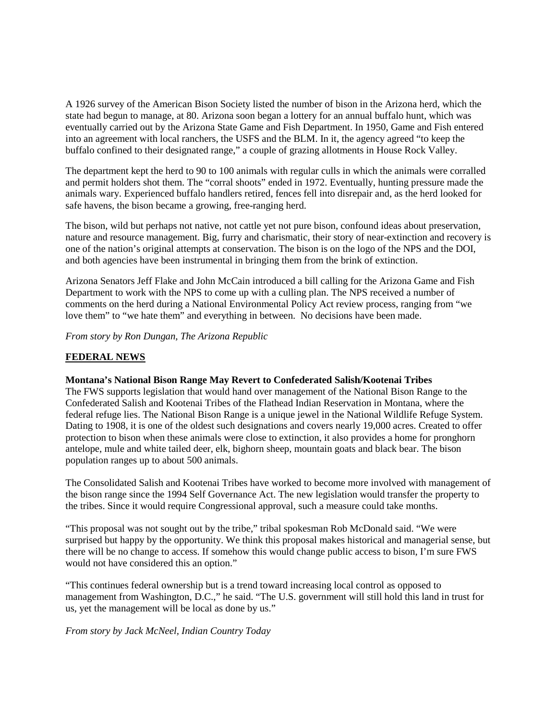A 1926 survey of the American Bison Society listed the number of bison in the Arizona herd, which the state had begun to manage, at 80. Arizona soon began a lottery for an annual buffalo hunt, which was eventually carried out by the Arizona State Game and Fish Department. In 1950, Game and Fish entered into an agreement with local ranchers, the USFS and the BLM. In it, the agency agreed "to keep the buffalo confined to their designated range," a couple of grazing allotments in House Rock Valley.

The department kept the herd to 90 to 100 animals with regular culls in which the animals were corralled and permit holders shot them. The "corral shoots" ended in 1972. Eventually, hunting pressure made the animals wary. Experienced buffalo handlers retired, fences fell into disrepair and, as the herd looked for safe havens, the bison became a growing, free-ranging herd.

The bison, wild but perhaps not native, not cattle yet not pure bison, confound ideas about preservation, nature and resource management. Big, furry and charismatic, their story of near-extinction and recovery is one of the nation's original attempts at conservation. The bison is on the logo of the NPS and the DOI, and both agencies have been instrumental in bringing them from the brink of extinction.

Arizona Senators Jeff Flake and John McCain introduced a bill calling for the Arizona Game and Fish Department to work with the NPS to come up with a culling plan. The NPS received a number of comments on the herd during a National Environmental Policy Act review process, ranging from "we love them" to "we hate them" and everything in between. No decisions have been made.

*From story by Ron Dungan, The Arizona Republic*

# **FEDERAL NEWS**

## **Montana's National Bison Range May Revert to Confederated Salish/Kootenai Tribes**

The FWS supports legislation that would hand over management of the National Bison Range to the Confederated Salish and Kootenai Tribes of the Flathead Indian Reservation in Montana, where the federal refuge lies. The National Bison Range is a unique jewel in the National Wildlife Refuge System. Dating to 1908, it is one of the oldest such designations and covers nearly 19,000 acres. Created to offer protection to bison when these animals were close to extinction, it also provides a home for pronghorn antelope, mule and white tailed deer, elk, bighorn sheep, mountain goats and black bear. The bison population ranges up to about 500 animals.

The Consolidated Salish and Kootenai Tribes have worked to become more involved with management of the bison range since the 1994 Self Governance Act. The new legislation would transfer the property to the tribes. Since it would require Congressional approval, such a measure could take months.

"This proposal was not sought out by the tribe," tribal spokesman Rob McDonald said. "We were surprised but happy by the opportunity. We think this proposal makes historical and managerial sense, but there will be no change to access. If somehow this would change public access to bison, I'm sure FWS would not have considered this an option."

"This continues federal ownership but is a trend toward increasing local control as opposed to management from Washington, D.C.," he said. "The U.S. government will still hold this land in trust for us, yet the management will be local as done by us."

*From story by Jack McNeel, Indian Country Today*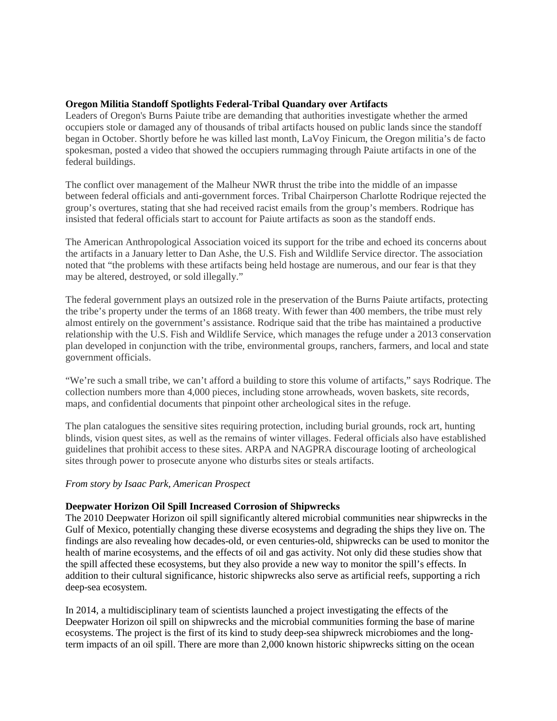## **Oregon Militia Standoff Spotlights Federal-Tribal Quandary over Artifacts**

Leaders of Oregon's Burns Paiute tribe are demanding that authorities investigate whether the armed occupiers stole or damaged any of thousands of tribal artifacts housed on public lands since the standoff began in October. Shortly before he was killed last month, LaVoy Finicum, the Oregon militia's de facto spokesman, posted a video that showed the occupiers rummaging through Paiute artifacts in one of the federal buildings.

The conflict over management of the Malheur NWR thrust the tribe into the middle of an impasse between federal officials and anti-government forces. Tribal Chairperson Charlotte Rodrique rejected the group's overtures, stating that she had received racist emails from the group's members. Rodrique has insisted that federal officials start to account for Paiute artifacts as soon as the standoff ends.

The American Anthropological Association voiced its support for the tribe and echoed its concerns about the artifacts in a January letter to Dan Ashe, the U.S. Fish and Wildlife Service director. The association noted that "the problems with these artifacts being held hostage are numerous, and our fear is that they may be altered, destroyed, or sold illegally."

The federal government plays an outsized role in the preservation of the Burns Paiute artifacts, protecting the tribe's property under the terms of an 1868 treaty. With fewer than 400 members, the tribe must rely almost entirely on the government's assistance. Rodrique said that the tribe has maintained a productive relationship with the U.S. Fish and Wildlife Service, which manages the refuge under a 2013 conservation plan developed in conjunction with the tribe, environmental groups, ranchers, farmers, and local and state government officials.

"We're such a small tribe, we can't afford a building to store this volume of artifacts," says Rodrique. The collection numbers more than 4,000 pieces, including stone arrowheads, woven baskets, site records, maps, and confidential documents that pinpoint other archeological sites in the refuge.

The plan catalogues the sensitive sites requiring protection, including burial grounds, rock art, hunting blinds, vision quest sites, as well as the remains of winter villages. Federal officials also have established guidelines that prohibit access to these sites. ARPA and NAGPRA discourage looting of archeological sites through power to prosecute anyone who disturbs sites or steals artifacts.

## *From story by Isaac Park, American Prospect*

## **Deepwater Horizon Oil Spill Increased Corrosion of Shipwrecks**

The 2010 Deepwater Horizon oil spill significantly altered microbial communities near shipwrecks in the Gulf of Mexico, potentially changing these diverse ecosystems and degrading the ships they live on. The findings are also revealing how decades-old, or even centuries-old, shipwrecks can be used to monitor the health of marine ecosystems, and the effects of oil and gas activity. Not only did these studies show that the spill affected these ecosystems, but they also provide a new way to monitor the spill's effects. In addition to their cultural significance, historic shipwrecks also serve as artificial reefs, supporting a rich deep-sea ecosystem.

In 2014, a multidisciplinary team of scientists launched a project investigating the effects of the Deepwater Horizon oil spill on shipwrecks and the microbial communities forming the base of marine ecosystems. The project is the first of its kind to study deep-sea shipwreck microbiomes and the longterm impacts of an oil spill. There are more than 2,000 known historic shipwrecks sitting on the ocean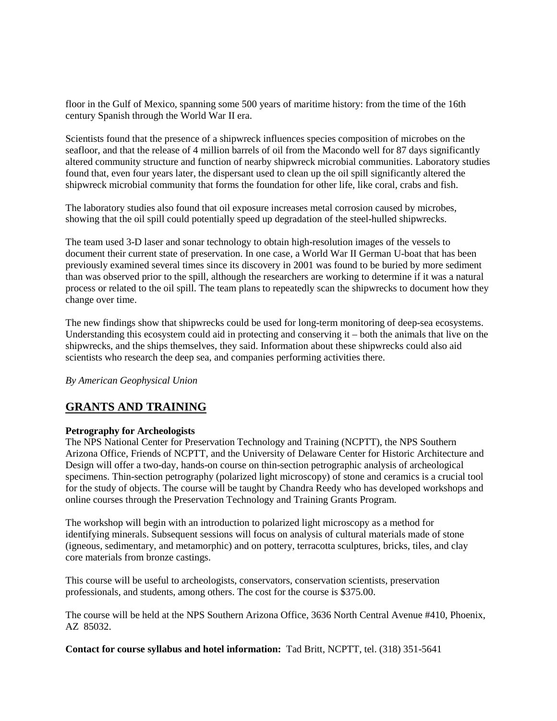floor in the Gulf of Mexico, spanning some 500 years of maritime history: from the time of the 16th century Spanish through the World War II era.

Scientists found that the presence of a shipwreck influences species composition of microbes on the seafloor, and that the release of 4 million barrels of oil from the Macondo well for 87 days significantly altered community structure and function of nearby shipwreck microbial communities. Laboratory studies found that, even four years later, the dispersant used to clean up the oil spill significantly altered the shipwreck microbial community that forms the foundation for other life, like coral, crabs and fish.

The laboratory studies also found that oil exposure increases metal corrosion caused by microbes, showing that the oil spill could potentially speed up degradation of the steel-hulled shipwrecks.

The team used 3-D laser and sonar technology to obtain high-resolution images of the vessels to document their current state of preservation. In one case, a World War II German U-boat that has been previously examined several times since its discovery in 2001 was found to be buried by more sediment than was observed prior to the spill, although the researchers are working to determine if it was a natural process or related to the oil spill. The team plans to repeatedly scan the shipwrecks to document how they change over time.

The new findings show that shipwrecks could be used for long-term monitoring of deep-sea ecosystems. Understanding this ecosystem could aid in protecting and conserving it – both the animals that live on the shipwrecks, and the ships themselves, they said. Information about these shipwrecks could also aid scientists who research the deep sea, and companies performing activities there.

*By American Geophysical Union* 

# **GRANTS AND TRAINING**

## **[Petrography for Archeologists](http://r20.rs6.net/tn.jsp?f=001hCt5hTolTF40wW8tgqsYDnTNSEYAmP84ChZQKTb0XImFEHGVIOKuGCBC0-GpNPS7vSnj_8Rva7hwxTMDvP0rX171xoiGUi7VSVg1JhNZaOt_aaVOJtFAVRf8pKfwWgRalroPE6AYl6iPOkzh6z7pTLU1x-022AwGNjSs7BGq5znP6z_cCuY-amfxLYx85XyUOBFpBuydnsoKl6N-7kOxCvQWBNnXnrRybJF2d8DG8mFcs6VzeZpGKw==&c=LFU55Xik19LB_1hmE2ovCp9nVOYsrlACAL0FEl1L4aSAJU6PhxDNyw==&ch=Qk49XwTyiuVwAwdpxzo25gfYN_Y3HYnC6uRDdF4rWZ-jV_jWPlmTZg==)**

The NPS National Center for Preservation Technology and Training (NCPTT), the NPS Southern Arizona Office, Friends of NCPTT, and the University of Delaware Center for Historic Architecture and Design will offer a two-day, hands-on course on thin-section petrographic analysis of archeological specimens. Thin-section petrography (polarized light microscopy) of stone and ceramics is a crucial tool for the study of objects. The course will be taught by Chandra Reedy who has developed workshops and online courses through the Preservation Technology and Training Grants Program.

The workshop will begin with an introduction to polarized light microscopy as a method for identifying minerals. Subsequent sessions will focus on analysis of cultural materials made of stone (igneous, sedimentary, and metamorphic) and on pottery, terracotta sculptures, bricks, tiles, and clay core materials from bronze castings.

This course will be useful to archeologists, conservators, conservation scientists, preservation professionals, and students, among others. The cost for the course is \$375.00.

The course will be held at the NPS Southern Arizona Office, 3636 North Central Avenue #410, Phoenix, AZ 85032.

**Contact for course syllabus and hotel information:** Tad Britt, NCPTT, tel. (318) 351-5641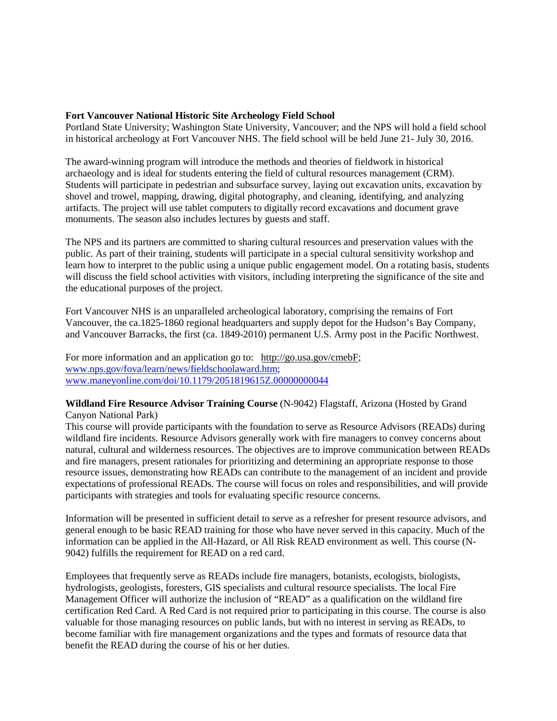#### **Fort Vancouver National Historic Site Archeology Field School**

Portland State University; Washington State University, Vancouver; and the NPS will hold a field school in historical archeology at Fort Vancouver NHS. The field school will be held June 21- July 30, 2016.

The award-winning program will introduce the methods and theories of fieldwork in historical archaeology and is ideal for students entering the field of cultural resources management (CRM). Students will participate in pedestrian and subsurface survey, laying out excavation units, excavation by shovel and trowel, mapping, drawing, digital photography, and cleaning, identifying, and analyzing artifacts. The project will use tablet computers to digitally record excavations and document grave monuments. The season also includes lectures by guests and staff.

The NPS and its partners are committed to sharing cultural resources and preservation values with the public. As part of their training, students will participate in a special cultural sensitivity workshop and learn how to interpret to the public using a unique public engagement model. On a rotating basis, students will discuss the field school activities with visitors, including interpreting the significance of the site and the educational purposes of the project.

Fort Vancouver NHS is an unparalleled archeological laboratory, comprising the remains of Fort Vancouver, the ca.1825-1860 regional headquarters and supply depot for the Hudson's Bay Company, and Vancouver Barracks, the first (ca. 1849-2010) permanent U.S. Army post in the Pacific Northwest.

For more information and an application go to: [http://go.usa.gov/cmebF;](http://go.usa.gov/cmebF) [www.nps.gov/fova/learn/news/fieldschoolaward.htm;](http://www.nps.gov/fova/learn/news/fieldschoolaward.htm) [www.maneyonline.com/doi/10.1179/2051819615Z.00000000044](http://www.maneyonline.com/doi/10.1179/2051819615Z.00000000044)

#### **Wildland Fire Resource Advisor Training Course** (N-9042) Flagstaff, Arizona (Hosted by Grand Canyon National Park)

This course will provide participants with the foundation to serve as Resource Advisors (READs) during wildland fire incidents. Resource Advisors generally work with fire managers to convey concerns about natural, cultural and wilderness resources. The objectives are to improve communication between READs and fire managers, present rationales for prioritizing and determining an appropriate response to those resource issues, demonstrating how READs can contribute to the management of an incident and provide expectations of professional READs. The course will focus on roles and responsibilities, and will provide participants with strategies and tools for evaluating specific resource concerns.

Information will be presented in sufficient detail to serve as a refresher for present resource advisors, and general enough to be basic READ training for those who have never served in this capacity. Much of the information can be applied in the All-Hazard, or All Risk READ environment as well. This course (N-9042) fulfills the requirement for READ on a red card.

Employees that frequently serve as READs include fire managers, botanists, ecologists, biologists, hydrologists, geologists, foresters, GIS specialists and cultural resource specialists. The local Fire Management Officer will authorize the inclusion of "READ" as a qualification on the wildland fire certification Red Card. A Red Card is not required prior to participating in this course. The course is also valuable for those managing resources on public lands, but with no interest in serving as READs, to become familiar with fire management organizations and the types and formats of resource data that benefit the READ during the course of his or her duties.